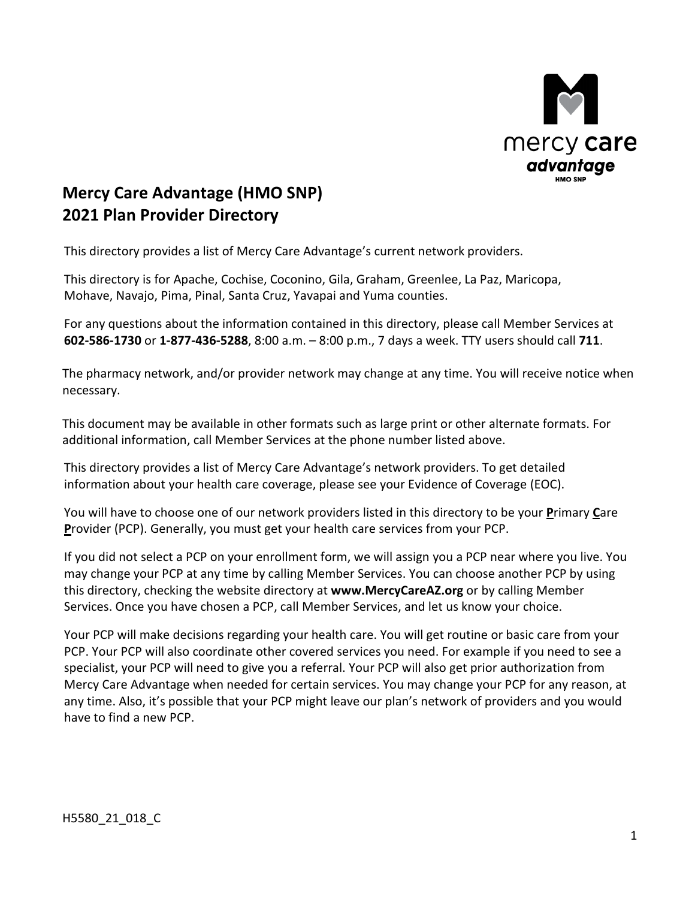

# **Mercy Care Advantage (HMO SNP) 2021 Plan Provider Directory**

This directory provides a list of Mercy Care Advantage's current network providers.

This directory is for Apache, Cochise, Coconino, Gila, Graham, Greenlee, La Paz, Maricopa, Mohave, Navajo, Pima, Pinal, Santa Cruz, Yavapai and Yuma counties.

 **602-586-1730** or **1-877-436-5288**, 8:00 a.m. – 8:00 p.m., 7 days a week. TTY users should call **711**. For any questions about the information contained in this directory, please call Member Services at

 The pharmacy network, and/or provider network may change at any time. You will receive notice when necessary.

 This document may be available in other formats such as large print or other alternate formats. For additional information, call Member Services at the phone number listed above.

 This directory provides a list of Mercy Care Advantage's network providers. To get detailed information about your health care coverage, please see your Evidence of Coverage (EOC).

You will have to choose one of our network providers listed in this directory to be your **P**rimary **C**are **P**rovider (PCP). Generally, you must get your health care services from your PCP.

If you did not select a PCP on your enrollment form, we will assign you a PCP near where you live. You may change your PCP at any time by calling Member Services. You can choose another PCP by using this directory, checking the website directory at **www.MercyCareAZ.org** or by calling Member Services. Once you have chosen a PCP, call Member Services, and let us know your choice.

 PCP. Your PCP will also coordinate other covered services you need. For example if you need to see a specialist, your PCP will need to give you a referral. Your PCP will also get prior authorization from Mercy Care Advantage when needed for certain services. You may change your PCP for any reason, at any time. Also, it's possible that your PCP might leave our plan's network of providers and you would Your PCP will make decisions regarding your health care. You will get routine or basic care from your have to find a new PCP.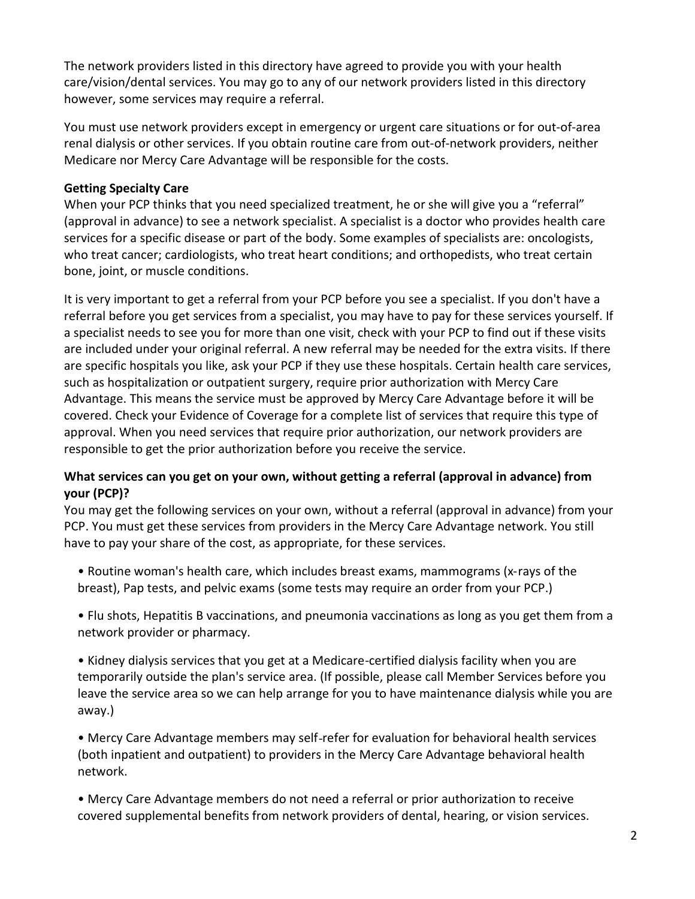The network providers listed in this directory have agreed to provide you with your health care/vision/dental services. You may go to any of our network providers listed in this directory however, some services may require a referral.

You must use network providers except in emergency or urgent care situations or for out-of-area renal dialysis or other services. If you obtain routine care from out-of-network providers, neither Medicare nor Mercy Care Advantage will be responsible for the costs.

#### **Getting Specialty Care**

 (approval in advance) to see a network specialist. A specialist is a doctor who provides health care When your PCP thinks that you need specialized treatment, he or she will give you a "referral" services for a specific disease or part of the body. Some examples of specialists are: oncologists, who treat cancer; cardiologists, who treat heart conditions; and orthopedists, who treat certain bone, joint, or muscle conditions.

 It is very important to get a referral from your PCP before you see a specialist. If you don't have a referral before you get services from a specialist, you may have to pay for these services yourself. If a specialist needs to see you for more than one visit, check with your PCP to find out if these visits are included under your original referral. A new referral may be needed for the extra visits. If there are specific hospitals you like, ask your PCP if they use these hospitals. Certain health care services, such as hospitalization or outpatient surgery, require prior authorization with Mercy Care approval. When you need services that require prior authorization, our network providers are Advantage. This means the service must be approved by Mercy Care Advantage before it will be covered. Check your Evidence of Coverage for a complete list of services that require this type of responsible to get the prior authorization before you receive the service.

#### **What services can you get on your own, without getting a referral (approval in advance) from your (PCP)?**

 have to pay your share of the cost, as appropriate, for these services. You may get the following services on your own, without a referral (approval in advance) from your PCP. You must get these services from providers in the Mercy Care Advantage network. You still

 • Routine woman's health care, which includes breast exams, mammograms (x-rays of the breast), Pap tests, and pelvic exams (some tests may require an order from your PCP.)

 • Flu shots, Hepatitis B vaccinations, and pneumonia vaccinations as long as you get them from a network provider or pharmacy.

 temporarily outside the plan's service area. (If possible, please call Member Services before you • Kidney dialysis services that you get at a Medicare-certified dialysis facility when you are leave the service area so we can help arrange for you to have maintenance dialysis while you are away.)

• Mercy Care Advantage members may self-refer for evaluation for behavioral health services (both inpatient and outpatient) to providers in the Mercy Care Advantage behavioral health network.

 • Mercy Care Advantage members do not need a referral or prior authorization to receive covered supplemental benefits from network providers of dental, hearing, or vision services.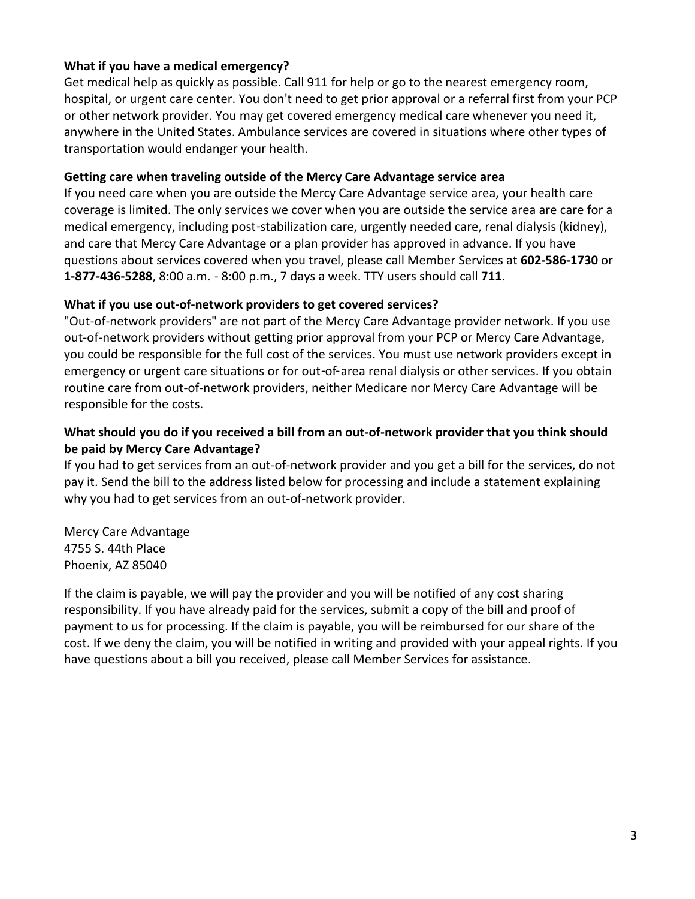#### **What if you have a medical emergency?**

 Get medical help as quickly as possible. Call 911 for help or go to the nearest emergency room, hospital, or urgent care center. You don't need to get prior approval or a referral first from your PCP anywhere in the United States. Ambulance services are covered in situations where other types of transportation would endanger your health. or other network provider. You may get covered emergency medical care whenever you need it,

#### **Getting care when traveling outside of the Mercy Care Advantage service area**

 coverage is limited. The only services we cover when you are outside the service area are care for a and care that Mercy Care Advantage or a plan provider has approved in advance. If you have If you need care when you are outside the Mercy Care Advantage service area, your health care medical emergency, including post-stabilization care, urgently needed care, renal dialysis (kidney), questions about services covered when you travel, please call Member Services at **602-586-1730** or **1-877-436-5288**, 8:00 a.m. - 8:00 p.m., 7 days a week. TTY users should call **711**.

#### **What if you use out-of-network providers to get covered services?**

"Out-of-network providers" are not part of the Mercy Care Advantage provider network. If you use out-of-network providers without getting prior approval from your PCP or Mercy Care Advantage, you could be responsible for the full cost of the services. You must use network providers except in emergency or urgent care situations or for out-of-area renal dialysis or other services. If you obtain routine care from out-of-network providers, neither Medicare nor Mercy Care Advantage will be responsible for the costs.

#### **What should you do if you received a bill from an out-of-network provider that you think should be paid by Mercy Care Advantage?**

If you had to get services from an out-of-network provider and you get a bill for the services, do not pay it. Send the bill to the address listed below for processing and include a statement explaining why you had to get services from an out-of-network provider.

Mercy Care Advantage 4755 S. 44th Place Phoenix, AZ 85040

 If the claim is payable, we will pay the provider and you will be notified of any cost sharing payment to us for processing. If the claim is payable, you will be reimbursed for our share of the responsibility. If you have already paid for the services, submit a copy of the bill and proof of cost. If we deny the claim, you will be notified in writing and provided with your appeal rights. If you have questions about a bill you received, please call Member Services for assistance.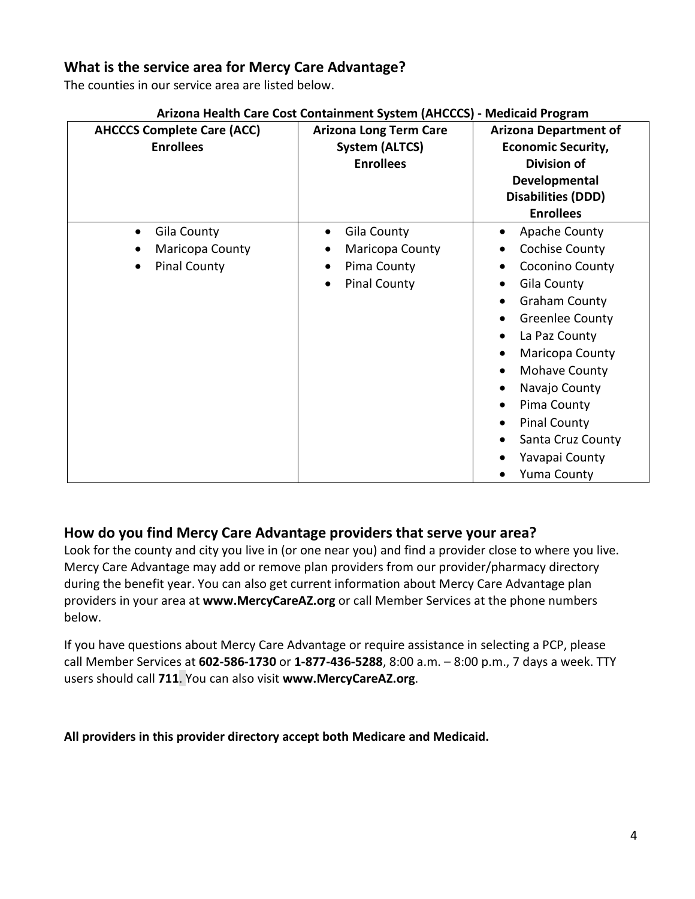### **What is the service area for Mercy Care Advantage?**

The counties in our service area are listed below.

| <b>AHCCCS Complete Care (ACC)</b><br><b>Enrollees</b>                                        | <b>Arizona Long Term Care</b><br><b>System (ALTCS)</b><br><b>Enrollees</b> | <b>Arizona Department of</b><br><b>Economic Security,</b><br><b>Division of</b><br>Developmental<br><b>Disabilities (DDD)</b><br><b>Enrollees</b>                                                                                                                                                                                                                                              |
|----------------------------------------------------------------------------------------------|----------------------------------------------------------------------------|------------------------------------------------------------------------------------------------------------------------------------------------------------------------------------------------------------------------------------------------------------------------------------------------------------------------------------------------------------------------------------------------|
| Gila County<br>$\bullet$<br>Maricopa County<br>$\bullet$<br><b>Pinal County</b><br>$\bullet$ | Gila County<br>Maricopa County<br>Pima County<br><b>Pinal County</b>       | Apache County<br>$\bullet$<br><b>Cochise County</b><br>Coconino County<br>Gila County<br>$\bullet$<br><b>Graham County</b><br><b>Greenlee County</b><br>$\bullet$<br>La Paz County<br>$\bullet$<br>Maricopa County<br>$\bullet$<br>Mohave County<br>$\bullet$<br>Navajo County<br>$\bullet$<br>Pima County<br><b>Pinal County</b><br>Santa Cruz County<br>Yavapai County<br><b>Yuma County</b> |

#### **Arizona Health Care Cost Containment System (AHCCCS) - Medicaid Program**

### **How do you find Mercy Care Advantage providers that serve your area?**

Look for the county and city you live in (or one near you) and find a provider close to where you live. Mercy Care Advantage may add or remove plan providers from our provider/pharmacy directory during the benefit year. You can also get current information about Mercy Care Advantage plan providers in your area at **www.MercyCareAZ.org** or call Member Services at the phone numbers below.

If you have questions about Mercy Care Advantage or require assistance in selecting a PCP, please call Member Services at **602-586-1730** or **1-877-436-5288**, 8:00 a.m. – 8:00 p.m., 7 days a week. TTY users should call **711**. You can also visit **www.MercyCareAZ.org**.

 **All providers in this provider directory accept both Medicare and Medicaid.**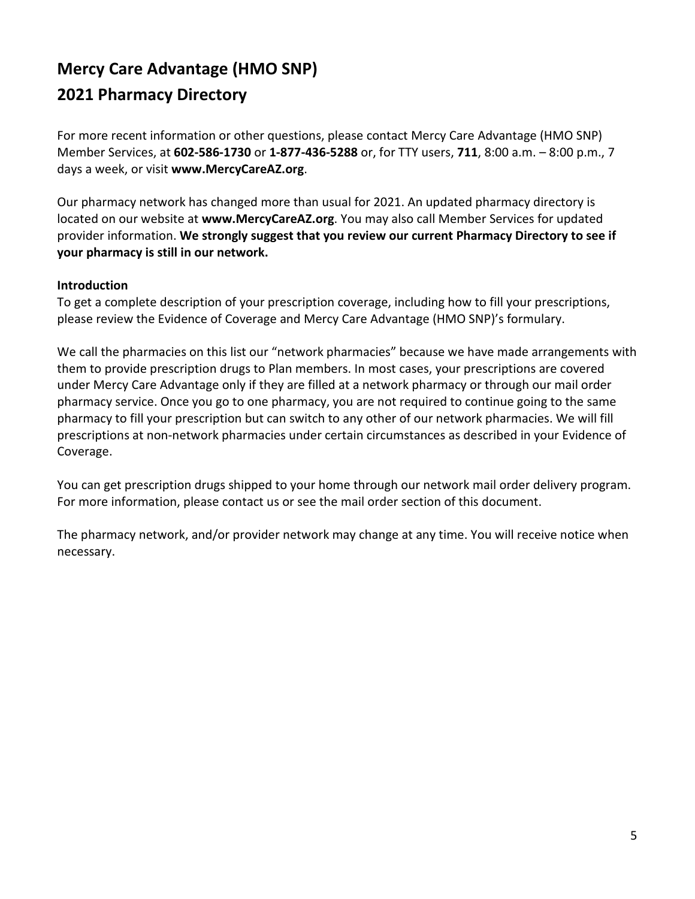# **Mercy Care Advantage (HMO SNP) 2021 Pharmacy Directory**

For more recent information or other questions, please contact Mercy Care Advantage (HMO SNP) Member Services, at **602-586-1730** or **1-877-436-5288** or, for TTY users, **711**, 8:00 a.m. – 8:00 p.m., 7 days a week, or visit **www.MercyCareAZ.org**.

Our pharmacy network has changed more than usual for 2021. An updated pharmacy directory is located on our website at **www.MercyCareAZ.org**. You may also call Member Services for updated provider information. **We strongly suggest that you review our current Pharmacy Directory to see if your pharmacy is still in our network.** 

#### **Introduction**

To get a complete description of your prescription coverage, including how to fill your prescriptions, please review the Evidence of Coverage and Mercy Care Advantage (HMO SNP)'s formulary.

 We call the pharmacies on this list our "network pharmacies" because we have made arrangements with pharmacy service. Once you go to one pharmacy, you are not required to continue going to the same pharmacy to fill your prescription but can switch to any other of our network pharmacies. We will fill prescriptions at non-network pharmacies under certain circumstances as described in your Evidence of them to provide prescription drugs to Plan members. In most cases, your prescriptions are covered under Mercy Care Advantage only if they are filled at a network pharmacy or through our mail order Coverage.

 For more information, please contact us or see the mail order section of this document. You can get prescription drugs shipped to your home through our network mail order delivery program.

 The pharmacy network, and/or provider network may change at any time. You will receive notice when necessary.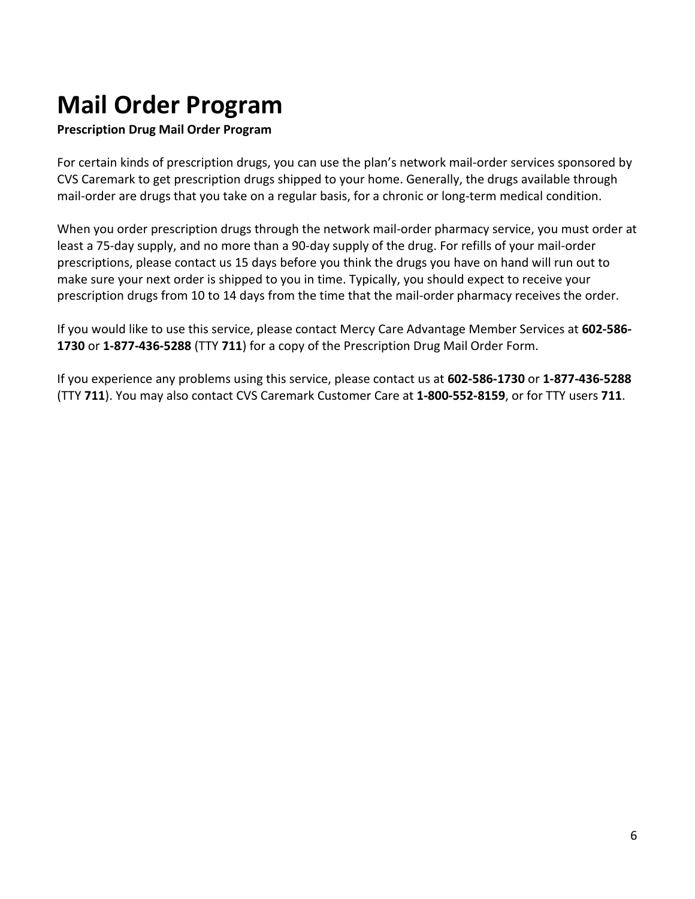# **Mail Order Program**

#### **Prescription Drug Mail Order Program**

 For certain kinds of prescription drugs, you can use the plan's network mail-order services sponsored by CVS Caremark to get prescription drugs shipped to your home. Generally, the drugs available through mail-order are drugs that you take on a regular basis, for a chronic or long-term medical condition.

 When you order prescription drugs through the network mail-order pharmacy service, you must order at least a 75-day supply, and no more than a 90-day supply of the drug. For refills of your mail-order prescriptions, please contact us 15 days before you think the drugs you have on hand will run out to make sure your next order is shipped to you in time. Typically, you should expect to receive your prescription drugs from 10 to 14 days from the time that the mail-order pharmacy receives the order.

 If you would like to use this service, please contact Mercy Care Advantage Member Services at **602-586 1730** or **1-877-436-5288** (TTY **711**) for a copy of the Prescription Drug Mail Order Form.

If you experience any problems using this service, please contact us at **602-586-1730** or **1-877-436-5288**  (TTY **711**). You may also contact CVS Caremark Customer Care at **1-800-552-8159**, or for TTY users **711**.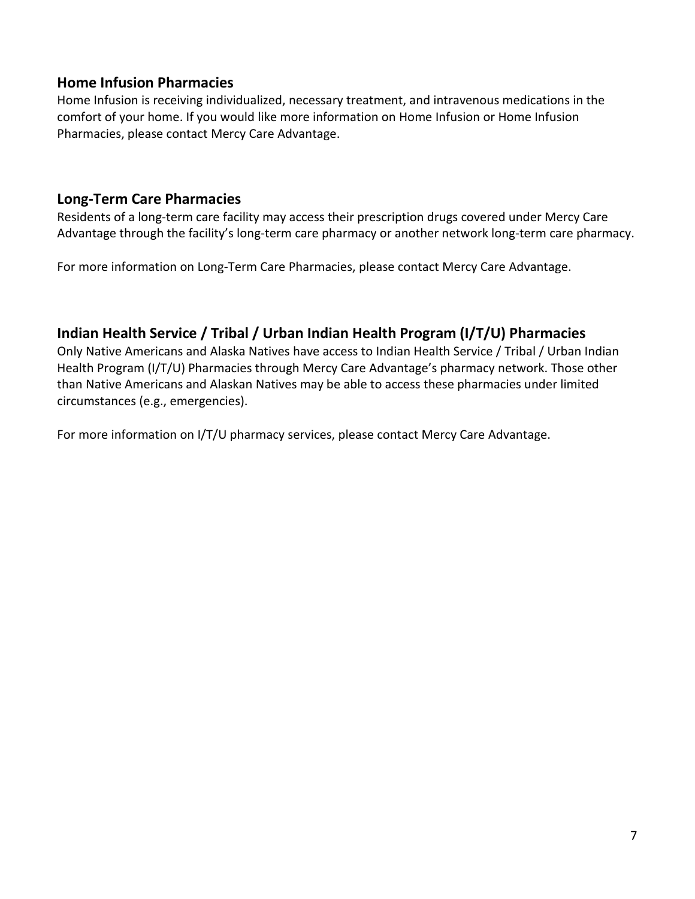#### **Home Infusion Pharmacies**

Home Infusion is receiving individualized, necessary treatment, and intravenous medications in the comfort of your home. If you would like more information on Home Infusion or Home Infusion Pharmacies, please contact Mercy Care Advantage.

### **Long-Term Care Pharmacies**

 Advantage through the facility's long-term care pharmacy or another network long-term care pharmacy. Residents of a long-term care facility may access their prescription drugs covered under Mercy Care

For more information on Long-Term Care Pharmacies, please contact Mercy Care Advantage.

# **Indian Health Service / Tribal / Urban Indian Health Program (I/T/U) Pharmacies**

 Health Program (I/T/U) Pharmacies through Mercy Care Advantage's pharmacy network. Those other than Native Americans and Alaskan Natives may be able to access these pharmacies under limited Only Native Americans and Alaska Natives have access to Indian Health Service / Tribal / Urban Indian circumstances (e.g., emergencies).

For more information on I/T/U pharmacy services, please contact Mercy Care Advantage.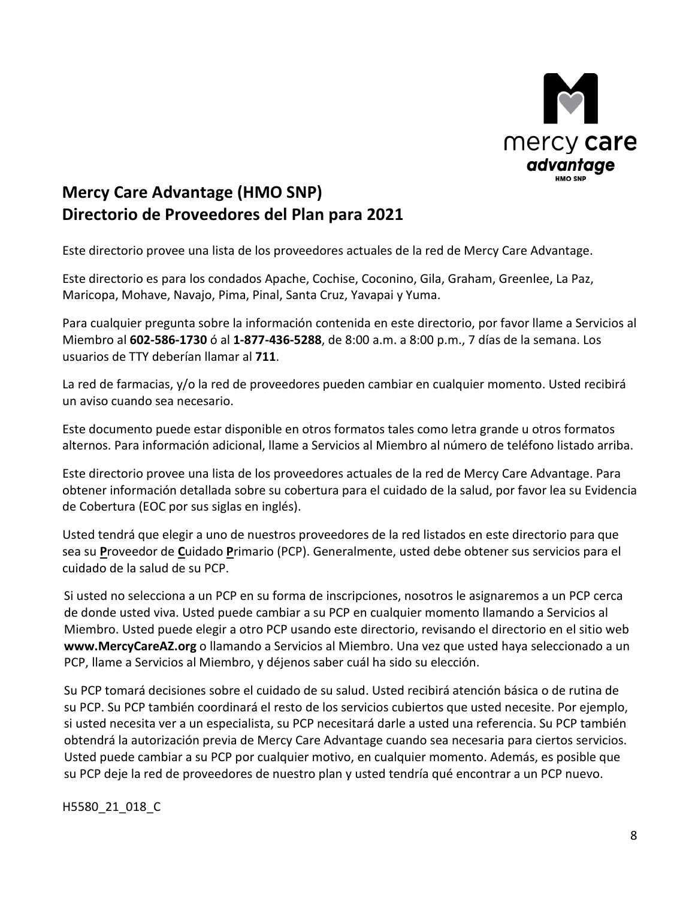

# **Mercy Care Advantage (HMO SNP) Directorio de Proveedores del Plan para 2021**

Este directorio provee una lista de los proveedores actuales de la red de Mercy Care Advantage.

 Este directorio es para los condados Apache, Cochise, Coconino, Gila, Graham, Greenlee, La Paz, Maricopa, Mohave, Navajo, Pima, Pinal, Santa Cruz, Yavapai y Yuma.

 Miembro al **602-586-1730** ó al **1-877-436-5288**, de 8:00 a.m. a 8:00 p.m., 7 días de la semana. Los Para cualquier pregunta sobre la información contenida en este directorio, por favor llame a Servicios al usuarios de TTY deberían llamar al **711**.

La red de farmacias, y/o la red de proveedores pueden cambiar en cualquier momento. Usted recibirá un aviso cuando sea necesario.

 Este documento puede estar disponible en otros formatos tales como letra grande u otros formatos alternos. Para información adicional, llame a Servicios al Miembro al número de teléfono listado arriba.

 Este directorio provee una lista de los proveedores actuales de la red de Mercy Care Advantage. Para obtener información detallada sobre su cobertura para el cuidado de la salud, por favor lea su Evidencia de Cobertura (EOC por sus siglas en inglés).

Usted tendrá que elegir a uno de nuestros proveedores de la red listados en este directorio para que sea su **P**roveedor de **C**uidado **P**rimario (PCP). Generalmente, usted debe obtener sus servicios para el cuidado de la salud de su PCP.

Si usted no selecciona a un PCP en su forma de inscripciones, nosotros le asignaremos a un PCP cerca de donde usted viva. Usted puede cambiar a su PCP en cualquier momento llamando a Servicios al Miembro. Usted puede elegir a otro PCP usando este directorio, revisando el directorio en el sitio web **www.MercyCareAZ.org** o llamando a Servicios al Miembro. Una vez que usted haya seleccionado a un PCP, llame a Servicios al Miembro, y déjenos saber cuál ha sido su elección.

 Su PCP tomará decisiones sobre el cuidado de su salud. Usted recibirá atención básica o de rutina de su PCP. Su PCP también coordinará el resto de los servicios cubiertos que usted necesite. Por ejemplo, obtendrá la autorización previa de Mercy Care Advantage cuando sea necesaria para ciertos servicios. Usted puede cambiar a su PCP por cualquier motivo, en cualquier momento. Además, es posible que su PCP deje la red de proveedores de nuestro plan y usted tendría qué encontrar a un PCP nuevo. si usted necesita ver a un especialista, su PCP necesitará darle a usted una referencia. Su PCP también

H5580\_21\_018\_C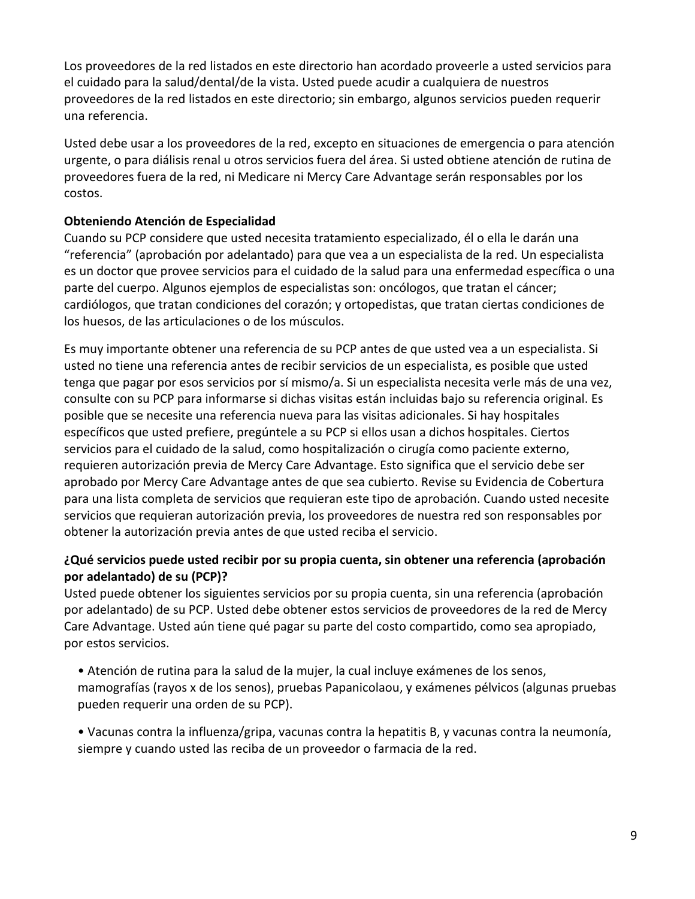Los proveedores de la red listados en este directorio han acordado proveerle a usted servicios para el cuidado para la salud/dental/de la vista. Usted puede acudir a cualquiera de nuestros proveedores de la red listados en este directorio; sin embargo, algunos servicios pueden requerir una referencia.

 Usted debe usar a los proveedores de la red, excepto en situaciones de emergencia o para atención urgente, o para diálisis renal u otros servicios fuera del área. Si usted obtiene atención de rutina de proveedores fuera de la red, ni Medicare ni Mercy Care Advantage serán responsables por los costos.

#### **Obteniendo Atención de Especialidad**

 Cuando su PCP considere que usted necesita tratamiento especializado, él o ella le darán una es un doctor que provee servicios para el cuidado de la salud para una enfermedad específica o una cardiólogos, que tratan condiciones del corazón; y ortopedistas, que tratan ciertas condiciones de "referencia" (aprobación por adelantado) para que vea a un especialista de la red. Un especialista parte del cuerpo. Algunos ejemplos de especialistas son: oncólogos, que tratan el cáncer; los huesos, de las articulaciones o de los músculos.

 Es muy importante obtener una referencia de su PCP antes de que usted vea a un especialista. Si usted no tiene una referencia antes de recibir servicios de un especialista, es posible que usted tenga que pagar por esos servicios por sí mismo/a. Si un especialista necesita verle más de una vez, específicos que usted prefiere, pregúntele a su PCP si ellos usan a dichos hospitales. Ciertos aprobado por Mercy Care Advantage antes de que sea cubierto. Revise su Evidencia de Cobertura servicios que requieran autorización previa, los proveedores de nuestra red son responsables por obtener la autorización previa antes de que usted reciba el servicio. consulte con su PCP para informarse si dichas visitas están incluidas bajo su referencia original. Es posible que se necesite una referencia nueva para las visitas adicionales. Si hay hospitales servicios para el cuidado de la salud, como hospitalización o cirugía como paciente externo, requieren autorización previa de Mercy Care Advantage. Esto significa que el servicio debe ser para una lista completa de servicios que requieran este tipo de aprobación. Cuando usted necesite

#### **¿Qué servicios puede usted recibir por su propia cuenta, sin obtener una referencia (aprobación por adelantado) de su (PCP)?**

 por adelantado) de su PCP. Usted debe obtener estos servicios de proveedores de la red de Mercy Usted puede obtener los siguientes servicios por su propia cuenta, sin una referencia (aprobación Care Advantage. Usted aún tiene qué pagar su parte del costo compartido, como sea apropiado, por estos servicios.

 mamografías (rayos x de los senos), pruebas Papanicolaou, y exámenes pélvicos (algunas pruebas • Atención de rutina para la salud de la mujer, la cual incluye exámenes de los senos, pueden requerir una orden de su PCP).

• Vacunas contra la influenza/gripa, vacunas contra la hepatitis B, y vacunas contra la neumonía, siempre y cuando usted las reciba de un proveedor o farmacia de la red.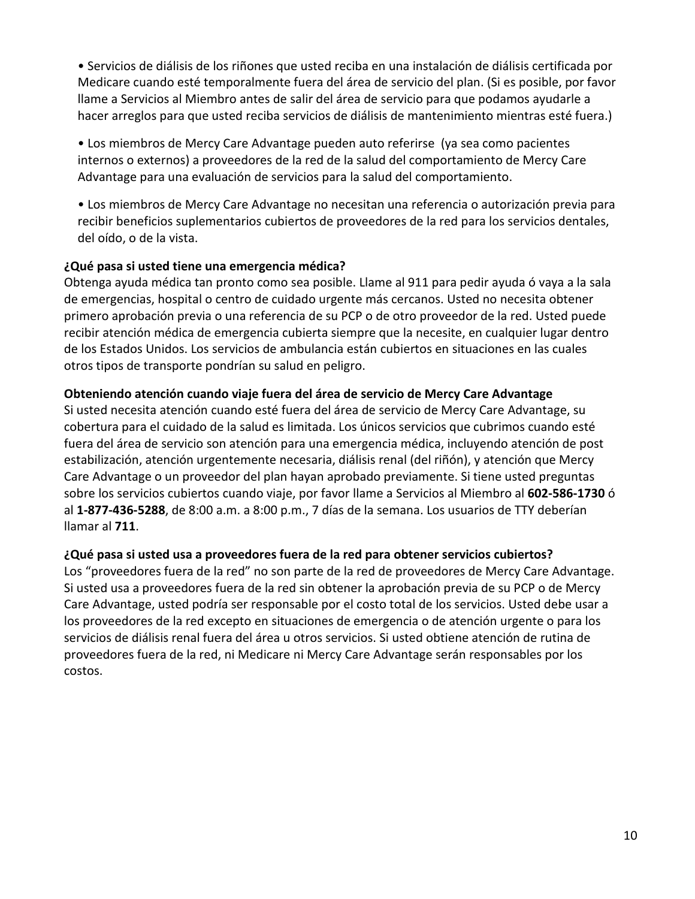• Servicios de diálisis de los riñones que usted reciba en una instalación de diálisis certificada por hacer arreglos para que usted reciba servicios de diálisis de mantenimiento mientras esté fuera.) Medicare cuando esté temporalmente fuera del área de servicio del plan. (Si es posible, por favor llame a Servicios al Miembro antes de salir del área de servicio para que podamos ayudarle a

 • Los miembros de Mercy Care Advantage pueden auto referirse (ya sea como pacientes internos o externos) a proveedores de la red de la salud del comportamiento de Mercy Care Advantage para una evaluación de servicios para la salud del comportamiento.

 recibir beneficios suplementarios cubiertos de proveedores de la red para los servicios dentales, • Los miembros de Mercy Care Advantage no necesitan una referencia o autorización previa para del oído, o de la vista.

#### **¿Qué pasa si usted tiene una emergencia médica?**

 primero aprobación previa o una referencia de su PCP o de otro proveedor de la red. Usted puede otros tipos de transporte pondrían su salud en peligro. Obtenga ayuda médica tan pronto como sea posible. Llame al 911 para pedir ayuda ó vaya a la sala de emergencias, hospital o centro de cuidado urgente más cercanos. Usted no necesita obtener recibir atención médica de emergencia cubierta siempre que la necesite, en cualquier lugar dentro de los Estados Unidos. Los servicios de ambulancia están cubiertos en situaciones en las cuales

#### **Obteniendo atención cuando viaje fuera del área de servicio de Mercy Care Advantage**

 cobertura para el cuidado de la salud es limitada. Los únicos servicios que cubrimos cuando esté fuera del área de servicio son atención para una emergencia médica, incluyendo atención de post estabilización, atención urgentemente necesaria, diálisis renal (del riñón), y atención que Mercy Care Advantage o un proveedor del plan hayan aprobado previamente. Si tiene usted preguntas al **1-877-436-5288**, de 8:00 a.m. a 8:00 p.m., 7 días de la semana. Los usuarios de TTY deberían Si usted necesita atención cuando esté fuera del área de servicio de Mercy Care Advantage, su sobre los servicios cubiertos cuando viaje, por favor llame a Servicios al Miembro al **602-586-1730** ó llamar al **711**.

#### **¿Qué pasa si usted usa a proveedores fuera de la red para obtener servicios cubiertos?**

 Los "proveedores fuera de la red" no son parte de la red de proveedores de Mercy Care Advantage. Care Advantage, usted podría ser responsable por el costo total de los servicios. Usted debe usar a los proveedores de la red excepto en situaciones de emergencia o de atención urgente o para los servicios de diálisis renal fuera del área u otros servicios. Si usted obtiene atención de rutina de proveedores fuera de la red, ni Medicare ni Mercy Care Advantage serán responsables por los Si usted usa a proveedores fuera de la red sin obtener la aprobación previa de su PCP o de Mercy costos.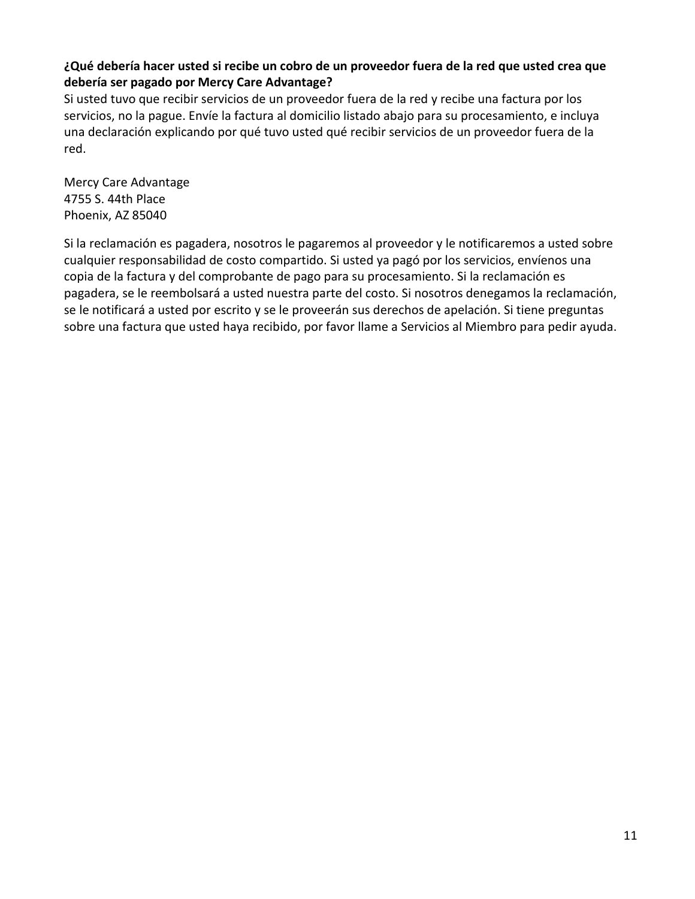#### **¿Qué debería hacer usted si recibe un cobro de un proveedor fuera de la red que usted crea que debería ser pagado por Mercy Care Advantage?**

 Si usted tuvo que recibir servicios de un proveedor fuera de la red y recibe una factura por los servicios, no la pague. Envíe la factura al domicilio listado abajo para su procesamiento, e incluya una declaración explicando por qué tuvo usted qué recibir servicios de un proveedor fuera de la red.

Mercy Care Advantage 4755 S. 44th Place Phoenix, AZ 85040

 Si la reclamación es pagadera, nosotros le pagaremos al proveedor y le notificaremos a usted sobre copia de la factura y del comprobante de pago para su procesamiento. Si la reclamación es se le notificará a usted por escrito y se le proveerán sus derechos de apelación. Si tiene preguntas cualquier responsabilidad de costo compartido. Si usted ya pagó por los servicios, envíenos una pagadera, se le reembolsará a usted nuestra parte del costo. Si nosotros denegamos la reclamación, sobre una factura que usted haya recibido, por favor llame a Servicios al Miembro para pedir ayuda.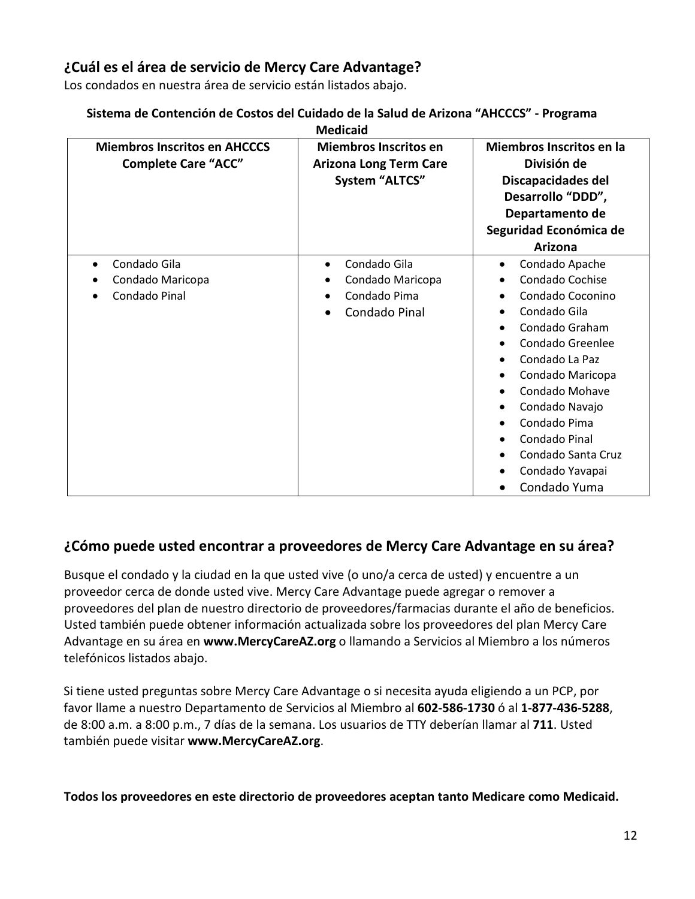## **¿Cuál es el área de servicio de Mercy Care Advantage?**

Los condados en nuestra área de servicio están listados abajo.

#### **Sistema de Contención de Costos del Cuidado de la Salud de Arizona "AHCCCS" - Programa**

| <b>Miembros Inscritos en AHCCCS</b><br><b>Complete Care "ACC"</b> | <b>Miembros Inscritos en</b><br><b>Arizona Long Term Care</b><br><b>System "ALTCS"</b> | Miembros Inscritos en la<br>División de<br>Discapacidades del<br>Desarrollo "DDD",<br>Departamento de<br>Seguridad Económica de<br>Arizona                                                                                                                                                   |
|-------------------------------------------------------------------|----------------------------------------------------------------------------------------|----------------------------------------------------------------------------------------------------------------------------------------------------------------------------------------------------------------------------------------------------------------------------------------------|
| Condado Gila<br>Condado Maricopa<br>Condado Pinal                 | Condado Gila<br>$\bullet$<br>Condado Maricopa<br>Condado Pima<br>Condado Pinal         | Condado Apache<br>$\bullet$<br>Condado Cochise<br>Condado Coconino<br>Condado Gila<br>Condado Graham<br>Condado Greenlee<br>Condado La Paz<br>Condado Maricopa<br>Condado Mohave<br>Condado Navajo<br>Condado Pima<br>Condado Pinal<br>Condado Santa Cruz<br>Condado Yavapai<br>Condado Yuma |

#### **¿Cómo puede usted encontrar a proveedores de Mercy Care Advantage en su área?**

Busque el condado y la ciudad en la que usted vive (o uno/a cerca de usted) y encuentre a un proveedor cerca de donde usted vive. Mercy Care Advantage puede agregar o remover a proveedores del plan de nuestro directorio de proveedores/farmacias durante el año de beneficios. Usted también puede obtener información actualizada sobre los proveedores del plan Mercy Care Advantage en su área en **www.MercyCareAZ.org** o llamando a Servicios al Miembro a los números telefónicos listados abajo.

Si tiene usted preguntas sobre Mercy Care Advantage o si necesita ayuda eligiendo a un PCP, por favor llame a nuestro Departamento de Servicios al Miembro al **602-586-1730** ó al **1-877-436-5288**, de 8:00 a.m. a 8:00 p.m., 7 días de la semana. Los usuarios de TTY deberían llamar al **711**. Usted también puede visitar **www.MercyCareAZ.org**.

**Todos los proveedores en este directorio de proveedores aceptan tanto Medicare como Medicaid.**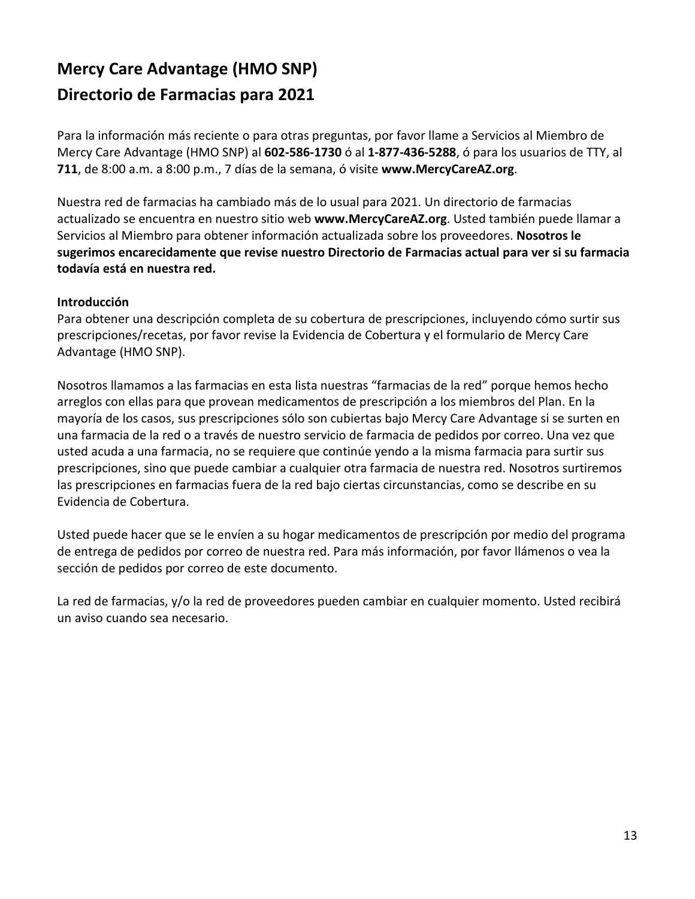# **Directorio de Farmacias para 2021 Mercy Care Advantage (HMO SNP)**

Para la información más reciente o para otras preguntas, por favor llame a Servicios al Miembro de Mercy Care Advantage (HMO SNP) al **602-586-1730** ó al **1-877-436-5288**, ó para los usuarios de TTY, al **711**, de 8:00 a.m. a 8:00 p.m., 7 días de la semana, ó visite **www.MercyCareAZ.org**.

Nuestra red de farmacias ha cambiado más de lo usual para 2021. Un directorio de farmacias actualizado se encuentra en nuestro sitio web **www.MercyCareAZ.org**. Usted también puede llamar a Servicios al Miembro para obtener información actualizada sobre los proveedores. **Nosotros le sugerimos encarecidamente que revise nuestro Directorio de Farmacias actual para ver si su farmacia todavía está en nuestra red.** 

#### **Introducción**

Para obtener una descripción completa de su cobertura de prescripciones, incluyendo cómo surtir sus prescripciones/recetas, por favor revise la Evidencia de Cobertura y el formulario de Mercy Care Advantage (HMO SNP).

 Nosotros llamamos a las farmacias en esta lista nuestras "farmacias de la red" porque hemos hecho una farmacia de la red o a través de nuestro servicio de farmacia de pedidos por correo. Una vez que prescripciones, sino que puede cambiar a cualquier otra farmacia de nuestra red. Nosotros surtiremos las prescripciones en farmacias fuera de la red bajo ciertas circunstancias, como se describe en su Evidencia de Cobertura. arreglos con ellas para que provean medicamentos de prescripción a los miembros del Plan. En la mayoría de los casos, sus prescripciones sólo son cubiertas bajo Mercy Care Advantage si se surten en usted acuda a una farmacia, no se requiere que continúe yendo a la misma farmacia para surtir sus

 Usted puede hacer que se le envíen a su hogar medicamentos de prescripción por medio del programa de entrega de pedidos por correo de nuestra red. Para más información, por favor llámenos o vea la sección de pedidos por correo de este documento.

La red de farmacias, y/o la red de proveedores pueden cambiar en cualquier momento. Usted recibirá un aviso cuando sea necesario.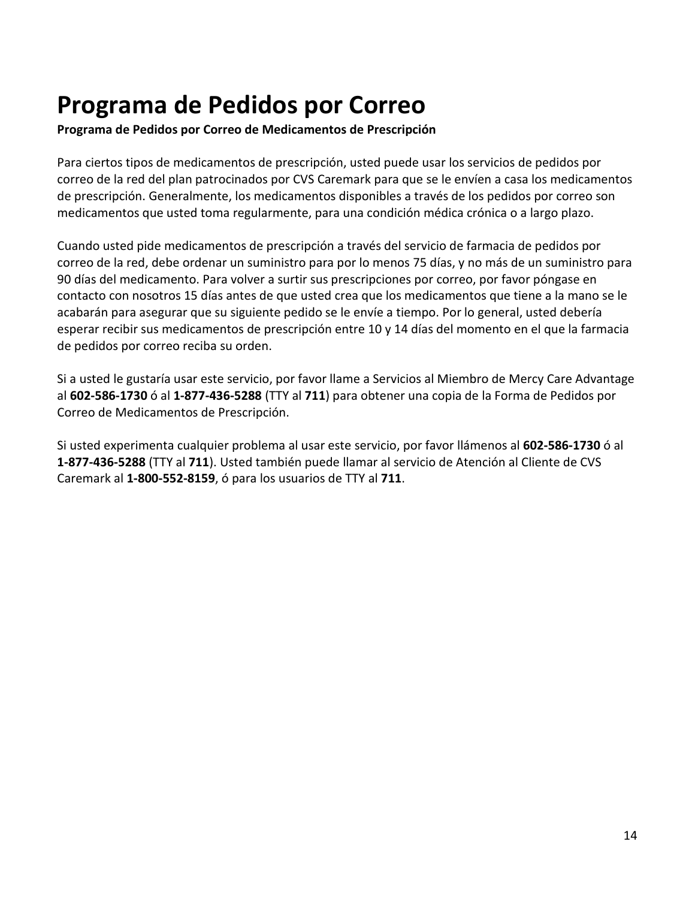# **Programa de Pedidos por Correo**

 **Programa de Pedidos por Correo de Medicamentos de Prescripción** 

 Para ciertos tipos de medicamentos de prescripción, usted puede usar los servicios de pedidos por de prescripción. Generalmente, los medicamentos disponibles a través de los pedidos por correo son correo de la red del plan patrocinados por CVS Caremark para que se le envíen a casa los medicamentos medicamentos que usted toma regularmente, para una condición médica crónica o a largo plazo.

 Cuando usted pide medicamentos de prescripción a través del servicio de farmacia de pedidos por correo de la red, debe ordenar un suministro para por lo menos 75 días, y no más de un suministro para contacto con nosotros 15 días antes de que usted crea que los medicamentos que tiene a la mano se le acabarán para asegurar que su siguiente pedido se le envíe a tiempo. Por lo general, usted debería esperar recibir sus medicamentos de prescripción entre 10 y 14 días del momento en el que la farmacia de pedidos por correo reciba su orden. 90 días del medicamento. Para volver a surtir sus prescripciones por correo, por favor póngase en

 Si a usted le gustaría usar este servicio, por favor llame a Servicios al Miembro de Mercy Care Advantage Correo de Medicamentos de Prescripción. al **602-586-1730** ó al **1-877-436-5288** (TTY al **711**) para obtener una copia de la Forma de Pedidos por

 Caremark al **1-800-552-8159**, ó para los usuarios de TTY al **711**. Correo de Medicamentos de Prescripción. Si usted experimenta cualquier problema al usar este servicio, por favor llámenos al **602-586-1730** ó al **1-877-436-5288** (TTY al **711**). Usted también puede llamar al servicio de Atención al Cliente de CVS